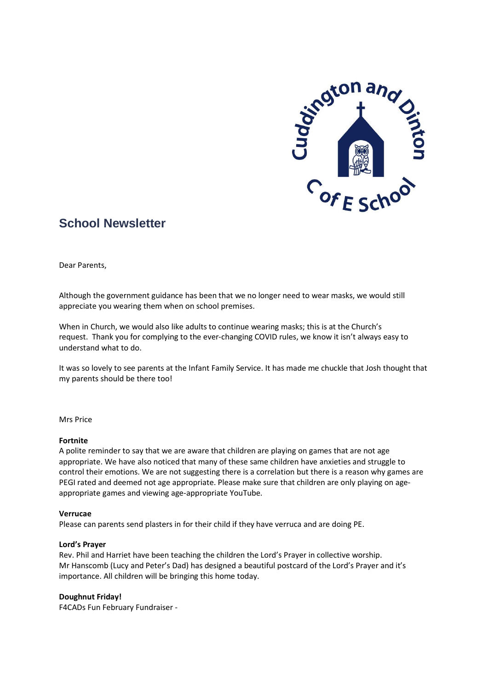

# **School Newsletter**

Dear Parents,

Although the government guidance has been that we no longer need to wear masks, we would still appreciate you wearing them when on school premises.

When in Church, we would also like adults to continue wearing masks; this is at the Church's request. Thank you for complying to the ever-changing COVID rules, we know it isn't always easy to understand what to do.

It was so lovely to see parents at the Infant Family Service. It has made me chuckle that Josh thought that my parents should be there too!

Mrs Price

# **Fortnite**

A polite reminder to say that we are aware that children are playing on games that are not age appropriate. We have also noticed that many of these same children have anxieties and struggle to control their emotions. We are not suggesting there is a correlation but there is a reason why games are PEGI rated and deemed not age appropriate. Please make sure that children are only playing on ageappropriate games and viewing age-appropriate YouTube.

# **Verrucae**

Please can parents send plasters in for their child if they have verruca and are doing PE.

# **Lord's Prayer**

Rev. Phil and Harriet have been teaching the children the Lord's Prayer in collective worship. Mr Hanscomb (Lucy and Peter's Dad) has designed a beautiful postcard of the Lord's Prayer and it's importance. All children will be bringing this home today.

# **Doughnut Friday!**

F4CADs Fun February Fundraiser -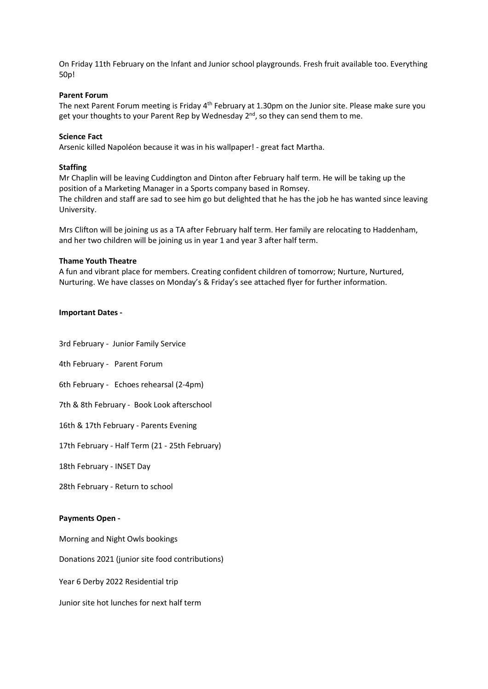On Friday 11th February on the Infant and Junior school playgrounds. Fresh fruit available too. Everything 50p!

#### **Parent Forum**

The next Parent Forum meeting is Friday 4<sup>th</sup> February at 1.30pm on the Junior site. Please make sure you get your thoughts to your Parent Rep by Wednesday 2<sup>nd</sup>, so they can send them to me.

#### **Science Fact**

Arsenic killed Napoléon because it was in his wallpaper! - great fact Martha.

#### **Staffing**

Mr Chaplin will be leaving Cuddington and Dinton after February half term. He will be taking up the position of a Marketing Manager in a Sports company based in Romsey. The children and staff are sad to see him go but delighted that he has the job he has wanted since leaving University.

Mrs Clifton will be joining us as a TA after February half term. Her family are relocating to Haddenham, and her two children will be joining us in year 1 and year 3 after half term.

#### **Thame Youth Theatre**

A fun and vibrant place for members. Creating confident children of tomorrow; Nurture, Nurtured, Nurturing. We have classes on Monday's & Friday's see attached flyer for further information.

#### **Important Dates -**

3rd February - Junior Family Service

4th February - Parent Forum

6th February - Echoes rehearsal (2-4pm)

7th & 8th February - Book Look afterschool

16th & 17th February - Parents Evening

17th February - Half Term (21 - 25th February)

18th February - INSET Day

28th February - Return to school

#### **Payments Open -**

Morning and Night Owls bookings

Donations 2021 (junior site food contributions)

Year 6 Derby 2022 Residential trip

Junior site hot lunches for next half term